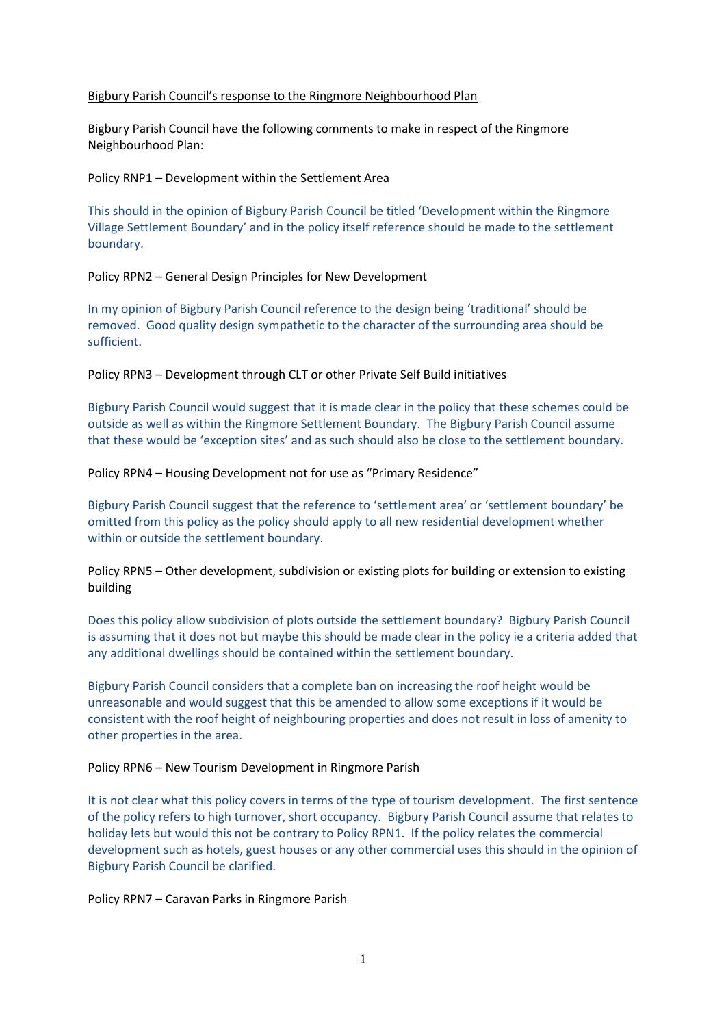### Bigbury Parish Council's response to the Ringmore Neighbourhood Plan

Bigbury Parish Council have the following comments to make in respect of the Ringmore Neighbourhood Plan:

## Policy RNP1 – Development within the Settlement Area

This should in the opinion of Bigbury Parish Council be titled 'Development within the Ringmore Village Settlement Boundary' and in the policy itself reference should be made to the settlement boundary.

### Policy RPN2 – General Design Principles for New Development

In my opinion of Bigbury Parish Council reference to the design being 'traditional' should be removed. Good quality design sympathetic to the character of the surrounding area should be sufficient.

Policy RPN3 – Development through CLT or other Private Self Build initiatives

Bigbury Parish Council would suggest that it is made clear in the policy that these schemes could be outside as well as within the Ringmore Settlement Boundary. The Bigbury Parish Council assume that these would be 'exception sites' and as such should also be close to the settlement boundary.

# Policy RPN4 – Housing Development not for use as "Primary Residence"

Bigbury Parish Council suggest that the reference to 'settlement area' or 'settlement boundary' be omitted from this policy as the policy should apply to all new residential development whether within or outside the settlement boundary.

Policy RPN5 – Other development, subdivision or existing plots for building or extension to existing building

Does this policy allow subdivision of plots outside the settlement boundary? Bigbury Parish Council is assuming that it does not but maybe this should be made clear in the policy ie a criteria added that any additional dwellings should be contained within the settlement boundary.

Bigbury Parish Council considers that a complete ban on increasing the roof height would be unreasonable and would suggest that this be amended to allow some exceptions if it would be consistent with the roof height of neighbouring properties and does not result in loss of amenity to other properties in the area.

# Policy RPN6 – New Tourism Development in Ringmore Parish

It is not clear what this policy covers in terms of the type of tourism development. The first sentence of the policy refers to high turnover, short occupancy. Bigbury Parish Council assume that relates to holiday lets but would this not be contrary to Policy RPN1. If the policy relates the commercial development such as hotels, guest houses or any other commercial uses this should in the opinion of Bigbury Parish Council be clarified.

Policy RPN7 – Caravan Parks in Ringmore Parish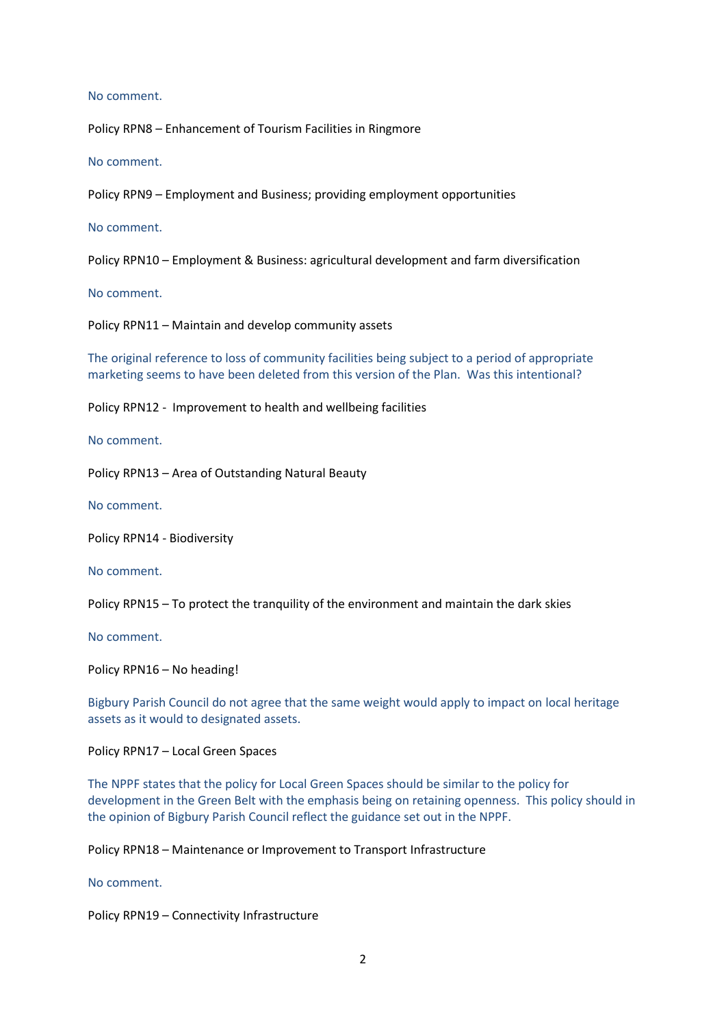#### No comment.

Policy RPN8 – Enhancement of Tourism Facilities in Ringmore

No comment.

Policy RPN9 – Employment and Business; providing employment opportunities

No comment.

Policy RPN10 – Employment & Business: agricultural development and farm diversification

No comment.

Policy RPN11 – Maintain and develop community assets

The original reference to loss of community facilities being subject to a period of appropriate marketing seems to have been deleted from this version of the Plan. Was this intentional?

Policy RPN12 - Improvement to health and wellbeing facilities

No comment.

Policy RPN13 – Area of Outstanding Natural Beauty

No comment.

Policy RPN14 - Biodiversity

No comment.

Policy RPN15 – To protect the tranquility of the environment and maintain the dark skies

No comment.

Policy RPN16 – No heading!

Bigbury Parish Council do not agree that the same weight would apply to impact on local heritage assets as it would to designated assets.

Policy RPN17 – Local Green Spaces

The NPPF states that the policy for Local Green Spaces should be similar to the policy for development in the Green Belt with the emphasis being on retaining openness. This policy should in the opinion of Bigbury Parish Council reflect the guidance set out in the NPPF.

Policy RPN18 – Maintenance or Improvement to Transport Infrastructure

No comment.

Policy RPN19 – Connectivity Infrastructure